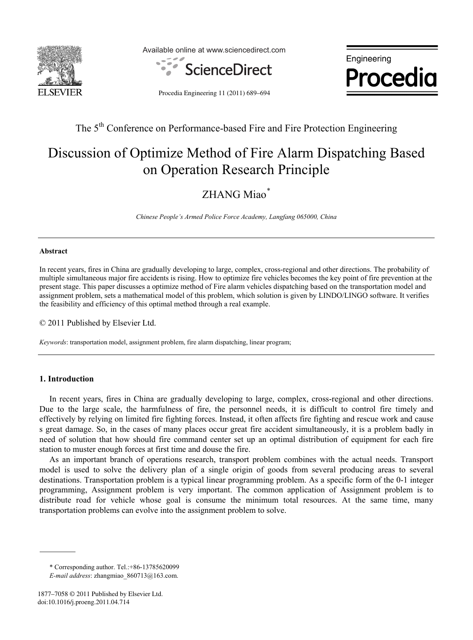

Available online at www.sciencedirect.com





Procedia Engineering 11 (2011) 689–694

# The 5<sup>th</sup> Conference on Performance-based Fire and Fire Protection Engineering

# Discussion of Optimize Method of Fire Alarm Dispatching Based on Operation Research Principle

# ZHANG Miao\*

*Chinese People's Armed Police Force Academy, Langfang 065000, China*

## **Abstract**

In recent years, fires in China are gradually developing to large, complex, cross-regional and other directions. The probability of multiple simultaneous major fire accidents is rising. How to optimize fire vehicles becomes the key point of fire prevention at the present stage. This paper discusses a optimize method of Fire alarm vehicles dispatching based on the transportation model and assignment problem, sets a mathematical model of this problem, which solution is given by LINDO/LINGO software. It verifies the feasibility and efficiency of this optimal method through a real example.

© 2011 Published by Elsevier Ltd.

*Keywords*: transportation model, assignment problem, fire alarm dispatching, linear program;

## **1. Introduction**

In recent years, fires in China are gradually developing to large, complex, cross-regional and other directions. Due to the large scale, the harmfulness of fire, the personnel needs, it is difficult to control fire timely and effectively by relying on limited fire fighting forces. Instead, it often affects fire fighting and rescue work and cause s great damage. So, in the cases of many places occur great fire accident simultaneously, it is a problem badly in need of solution that how should fire command center set up an optimal distribution of equipment for each fire station to muster enough forces at first time and douse the fire.

As an important branch of operations research, transport problem combines with the actual needs. Transport model is used to solve the delivery plan of a single origin of goods from several producing areas to several destinations. Transportation problem is a typical linear programming problem. As a specific form of the 0-1 integer programming, Assignment problem is very important. The common application of Assignment problem is to distribute road for vehicle whose goal is consume the minimum total resources. At the same time, many transportation problems can evolve into the assignment problem to solve.

<sup>\*</sup> Corresponding author. Tel.:+86-13785620099

*E-mail address*: zhangmiao\_860713@163.com.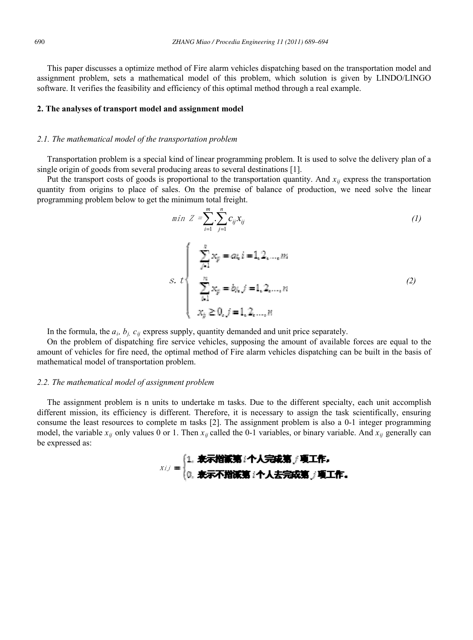This paper discusses a optimize method of Fire alarm vehicles dispatching based on the transportation model and assignment problem, sets a mathematical model of this problem, which solution is given by LINDO/LINGO software. It verifies the feasibility and efficiency of this optimal method through a real example.

#### **2. The analyses of transport model and assignment model**

### *2.1. The mathematical model of the transportation problem*

Transportation problem is a special kind of linear programming problem. It is used to solve the delivery plan of a single origin of goods from several producing areas to several destinations [1].

Put the transport costs of goods is proportional to the transportation quantity. And *xij* express the transportation quantity from origins to place of sales. On the premise of balance of production, we need solve the linear programming problem below to get the minimum total freight.

$$
\min Z = \sum_{i=1}^{m} \sum_{j=1}^{n} C_{ij} x_{ij}
$$
\n(1)  
\n
$$
\sum_{j=1}^{n} x_{ij} = \alpha t_i \, i = 1, 2, ..., m
$$
\n
$$
S. \ t \begin{cases}\n\sum_{j=1}^{n} x_{ij} = \delta t_i \, j = 1, 2, ..., n \\
\sum_{k=1}^{n} x_{ij} = \delta t_i \, j = 1, 2, ..., n \\
x_{ij} \ge 0, j = 1, 2, ..., n\n\end{cases}
$$
\n(2)

In the formula, the  $a_i$ ,  $b_i$ ,  $c_{ij}$  express supply, quantity demanded and unit price separately.

On the problem of dispatching fire service vehicles, supposing the amount of available forces are equal to the amount of vehicles for fire need, the optimal method of Fire alarm vehicles dispatching can be built in the basis of mathematical model of transportation problem.

### *2.2. The mathematical model of assignment problem*

The assignment problem is n units to undertake m tasks. Due to the different specialty, each unit accomplish different mission, its efficiency is different. Therefore, it is necessary to assign the task scientifically, ensuring consume the least resources to complete m tasks [2]. The assignment problem is also a 0-1 integer programming model, the variable  $x_{ij}$  only values 0 or 1. Then  $x_{ij}$  called the 0-1 variables, or binary variable. And  $x_{ij}$  generally can be expressed as:

$$
Xij = \begin{cases} 1, & \text{E-}\overline{\text{X}} \text{ is a } i + \text{A} \text{ and } \overline{\text{X}} \text{ is a } j = 0, \\ 0, & \text{E-}\overline{\text{X}} \text{ is a } i + \text{A-}\overline{\text{A}} \text{ and } \overline{\text{X}} \text{ is a } j = 0. \end{cases}
$$